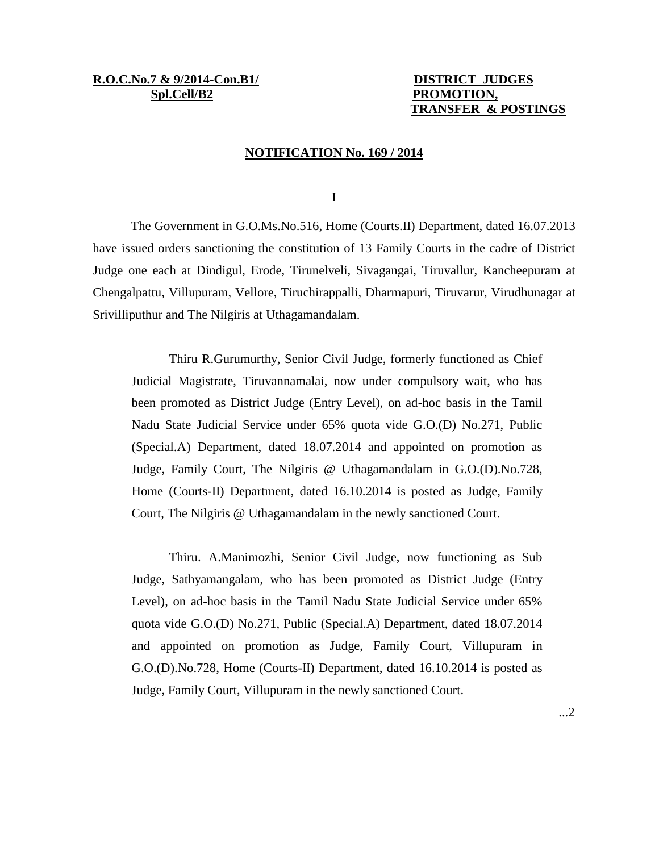**R.O.C.No.7 & 9/2014-Con.B1/ DISTRICT JUDGES** Spl.Cell/B2 **PROMOTION,** 

# **TRANSFER & POSTINGS**

## **NOTIFICATION No. 169 / 2014**

**I**

The Government in G.O.Ms.No.516, Home (Courts.II) Department, dated 16.07.2013 have issued orders sanctioning the constitution of 13 Family Courts in the cadre of District Judge one each at Dindigul, Erode, Tirunelveli, Sivagangai, Tiruvallur, Kancheepuram at Chengalpattu, Villupuram, Vellore, Tiruchirappalli, Dharmapuri, Tiruvarur, Virudhunagar at Srivilliputhur and The Nilgiris at Uthagamandalam.

Thiru R.Gurumurthy, Senior Civil Judge, formerly functioned as Chief Judicial Magistrate, Tiruvannamalai, now under compulsory wait, who has been promoted as District Judge (Entry Level), on ad-hoc basis in the Tamil Nadu State Judicial Service under 65% quota vide G.O.(D) No.271, Public (Special.A) Department, dated 18.07.2014 and appointed on promotion as Judge, Family Court, The Nilgiris @ Uthagamandalam in G.O.(D).No.728, Home (Courts-II) Department, dated 16.10.2014 is posted as Judge, Family Court, The Nilgiris @ Uthagamandalam in the newly sanctioned Court.

Thiru. A.Manimozhi, Senior Civil Judge, now functioning as Sub Judge, Sathyamangalam, who has been promoted as District Judge (Entry Level), on ad-hoc basis in the Tamil Nadu State Judicial Service under 65% quota vide G.O.(D) No.271, Public (Special.A) Department, dated 18.07.2014 and appointed on promotion as Judge, Family Court, Villupuram in G.O.(D).No.728, Home (Courts-II) Department, dated 16.10.2014 is posted as Judge, Family Court, Villupuram in the newly sanctioned Court.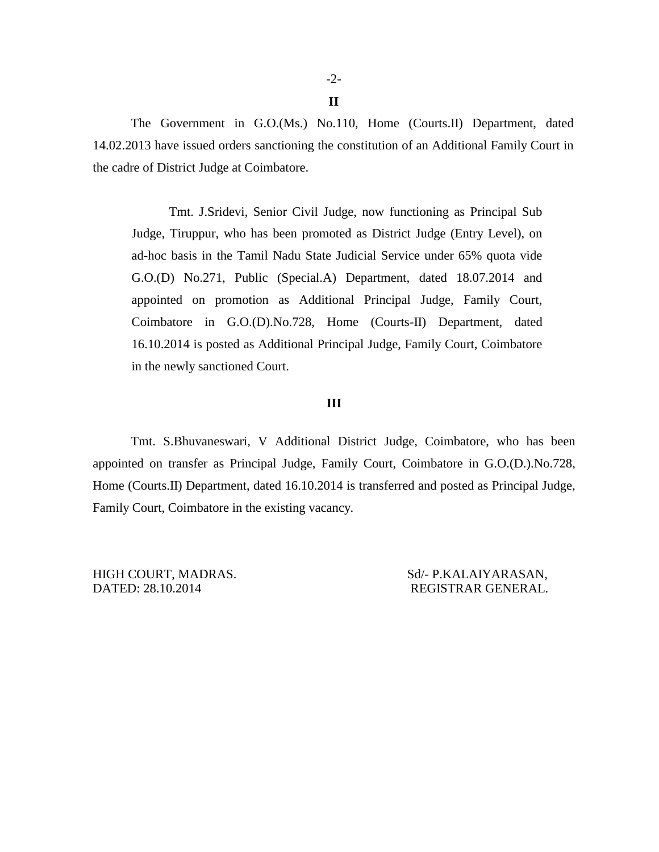**II**

The Government in G.O.(Ms.) No.110, Home (Courts.II) Department, dated 14.02.2013 have issued orders sanctioning the constitution of an Additional Family Court in the cadre of District Judge at Coimbatore.

Tmt. J.Sridevi, Senior Civil Judge, now functioning as Principal Sub Judge, Tiruppur, who has been promoted as District Judge (Entry Level), on ad-hoc basis in the Tamil Nadu State Judicial Service under 65% quota vide G.O.(D) No.271, Public (Special.A) Department, dated 18.07.2014 and appointed on promotion as Additional Principal Judge, Family Court, Coimbatore in G.O.(D).No.728, Home (Courts-II) Department, dated 16.10.2014 is posted as Additional Principal Judge, Family Court, Coimbatore in the newly sanctioned Court.

## **III**

Tmt. S.Bhuvaneswari, V Additional District Judge, Coimbatore, who has been appointed on transfer as Principal Judge, Family Court, Coimbatore in G.O.(D.).No.728, Home (Courts.II) Department, dated 16.10.2014 is transferred and posted as Principal Judge, Family Court, Coimbatore in the existing vacancy.

DATED: 28.10.2014 REGISTRAR GENERAL.

HIGH COURT, MADRAS. Sd/- P.KALAIYARASAN,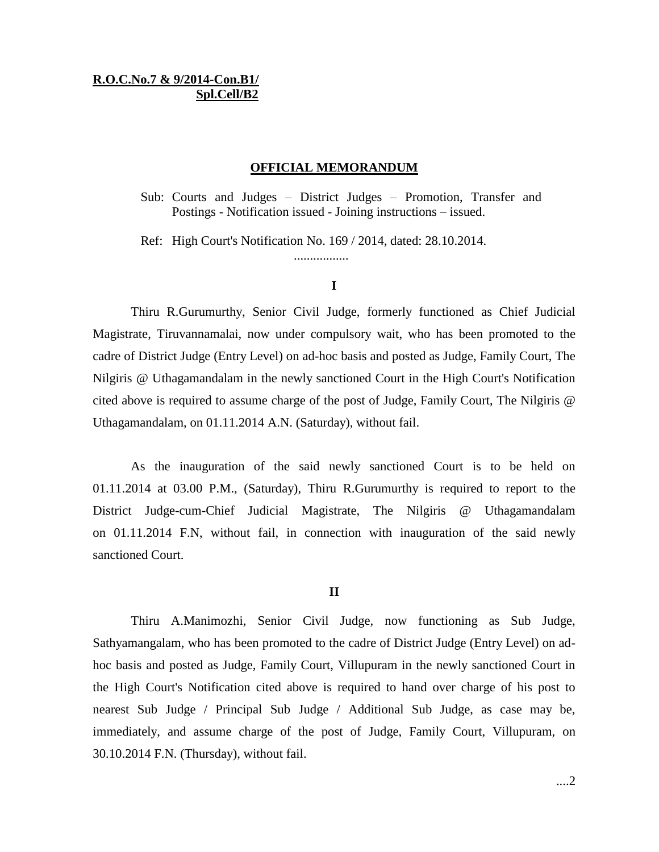# **R.O.C.No.7 & 9/2014-Con.B1/ Spl.Cell/B2**

# **OFFICIAL MEMORANDUM**

Sub: Courts and Judges – District Judges – Promotion, Transfer and Postings - Notification issued - Joining instructions – issued.

Ref: High Court's Notification No. 169 / 2014, dated: 28.10.2014.

.................

## **I**

Thiru R.Gurumurthy, Senior Civil Judge, formerly functioned as Chief Judicial Magistrate, Tiruvannamalai, now under compulsory wait, who has been promoted to the cadre of District Judge (Entry Level) on ad-hoc basis and posted as Judge, Family Court, The Nilgiris @ Uthagamandalam in the newly sanctioned Court in the High Court's Notification cited above is required to assume charge of the post of Judge, Family Court, The Nilgiris @ Uthagamandalam, on 01.11.2014 A.N. (Saturday), without fail.

As the inauguration of the said newly sanctioned Court is to be held on 01.11.2014 at 03.00 P.M., (Saturday), Thiru R.Gurumurthy is required to report to the District Judge-cum-Chief Judicial Magistrate, The Nilgiris @ Uthagamandalam on 01.11.2014 F.N, without fail, in connection with inauguration of the said newly sanctioned Court.

#### **II**

Thiru A.Manimozhi, Senior Civil Judge, now functioning as Sub Judge, Sathyamangalam, who has been promoted to the cadre of District Judge (Entry Level) on adhoc basis and posted as Judge, Family Court, Villupuram in the newly sanctioned Court in the High Court's Notification cited above is required to hand over charge of his post to nearest Sub Judge / Principal Sub Judge / Additional Sub Judge, as case may be, immediately, and assume charge of the post of Judge, Family Court, Villupuram, on 30.10.2014 F.N. (Thursday), without fail.